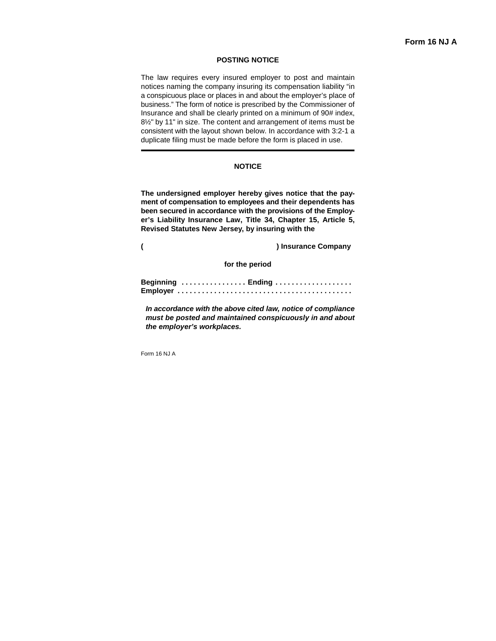# **Form 16 NJ A**

#### **POSTING NOTICE**

The law requires every insured employer to post and maintain notices naming the company insuring its compensation liability "in a conspicuous place or places in and about the employer's place of business." The form of notice is prescribed by the Commissioner of Insurance and shall be clearly printed on a minimum of 90# index, 8½" by 11" in size. The content and arrangement of items must be consistent with the layout shown below. In accordance with 3:2-1 a duplicate filing must be made before the form is placed in use.

### **NOTICE**

**The undersigned employer hereby gives notice that the payment of compensation to employees and their dependents has been secured in accordance with the provisions of the Employer's Liability Insurance Law, Title 34, Chapter 15, Article 5, Revised Statutes New Jersey, by insuring with the** 

**( ) Insurance Company** 

**for the period**

| Beginning  Ending |  |  |  |  |  |  |  |  |  |  |  |  |  |  |  |  |  |  |  |  |  |  |  |  |
|-------------------|--|--|--|--|--|--|--|--|--|--|--|--|--|--|--|--|--|--|--|--|--|--|--|--|
|                   |  |  |  |  |  |  |  |  |  |  |  |  |  |  |  |  |  |  |  |  |  |  |  |  |

*In accordance with the above cited law, notice of compliance must be posted and maintained conspicuously in and about the employer's workplaces.*

Form 16 NJ A